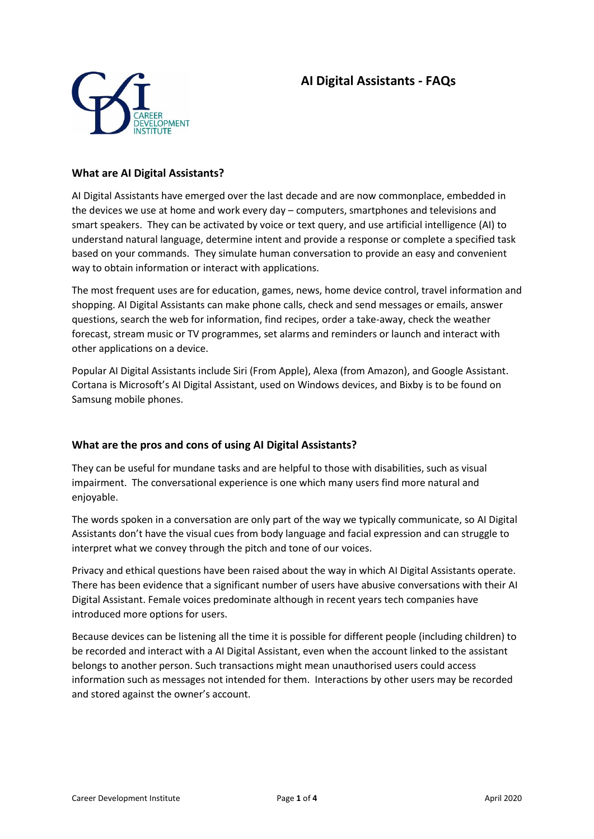# **AI Digital Assistants - FAQs**



#### **What are AI Digital Assistants?**

AI Digital Assistants have emerged over the last decade and are now commonplace, embedded in the devices we use at home and work every day – computers, smartphones and televisions and smart speakers. They can be activated by voice or text query, and use artificial intelligence (AI) to understand natural language, determine intent and provide a response or complete a specified task based on your commands. They simulate human conversation to provide an easy and convenient way to obtain information or interact with applications.

The most frequent uses are for education, games, news, home device control, travel information and shopping. AI Digital Assistants can make phone calls, check and send messages or emails, answer questions, search the web for information, find recipes, order a take-away, check the weather forecast, stream music or TV programmes, set alarms and reminders or launch and interact with other applications on a device.

Popular AI Digital Assistants include Siri (From Apple), Alexa (from Amazon), and Google Assistant. Cortana is Microsoft's AI Digital Assistant, used on Windows devices, and Bixby is to be found on Samsung mobile phones.

# **What are the pros and cons of using AI Digital Assistants?**

They can be useful for mundane tasks and are helpful to those with disabilities, such as visual impairment. The conversational experience is one which many users find more natural and enjoyable.

The words spoken in a conversation are only part of the way we typically communicate, so AI Digital Assistants don't have the visual cues from body language and facial expression and can struggle to interpret what we convey through the pitch and tone of our voices.

Privacy and ethical questions have been raised about the way in which AI Digital Assistants operate. There has been evidence that a significant number of users have abusive conversations with their AI Digital Assistant. Female voices predominate although in recent years tech companies have introduced more options for users.

Because devices can be listening all the time it is possible for different people (including children) to be recorded and interact with a AI Digital Assistant, even when the account linked to the assistant belongs to another person. Such transactions might mean unauthorised users could access information such as messages not intended for them. Interactions by other users may be recorded and stored against the owner's account.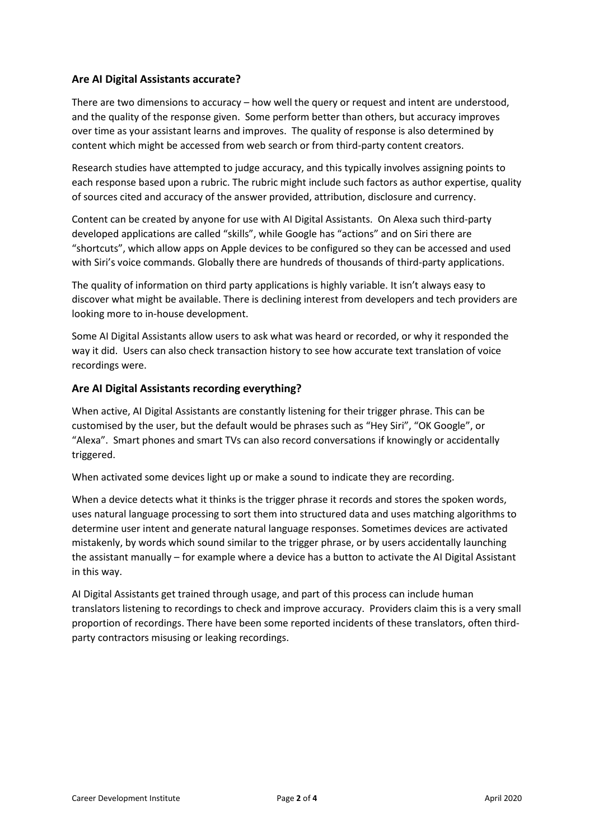# **Are AI Digital Assistants accurate?**

There are two dimensions to accuracy – how well the query or request and intent are understood, and the quality of the response given. Some perform better than others, but accuracy improves over time as your assistant learns and improves. The quality of response is also determined by content which might be accessed from web search or from third-party content creators.

Research studies have attempted to judge accuracy, and this typically involves assigning points to each response based upon a rubric. The rubric might include such factors as author expertise, quality of sources cited and accuracy of the answer provided, attribution, disclosure and currency.

Content can be created by anyone for use with AI Digital Assistants. On Alexa such third-party developed applications are called "skills", while Google has "actions" and on Siri there are "shortcuts", which allow apps on Apple devices to be configured so they can be accessed and used with Siri's voice commands. Globally there are hundreds of thousands of third-party applications.

The quality of information on third party applications is highly variable. It isn't always easy to discover what might be available. There is declining interest from developers and tech providers are looking more to in-house development.

Some AI Digital Assistants allow users to ask what was heard or recorded, or why it responded the way it did. Users can also check transaction history to see how accurate text translation of voice recordings were.

## **Are AI Digital Assistants recording everything?**

When active, AI Digital Assistants are constantly listening for their trigger phrase. This can be customised by the user, but the default would be phrases such as "Hey Siri", "OK Google", or "Alexa". Smart phones and smart TVs can also record conversations if knowingly or accidentally triggered.

When activated some devices light up or make a sound to indicate they are recording.

When a device detects what it thinks is the trigger phrase it records and stores the spoken words, uses natural language processing to sort them into structured data and uses matching algorithms to determine user intent and generate natural language responses. Sometimes devices are activated mistakenly, by words which sound similar to the trigger phrase, or by users accidentally launching the assistant manually – for example where a device has a button to activate the AI Digital Assistant in this way.

AI Digital Assistants get trained through usage, and part of this process can include human translators listening to recordings to check and improve accuracy. Providers claim this is a very small proportion of recordings. There have been some reported incidents of these translators, often thirdparty contractors misusing or leaking recordings.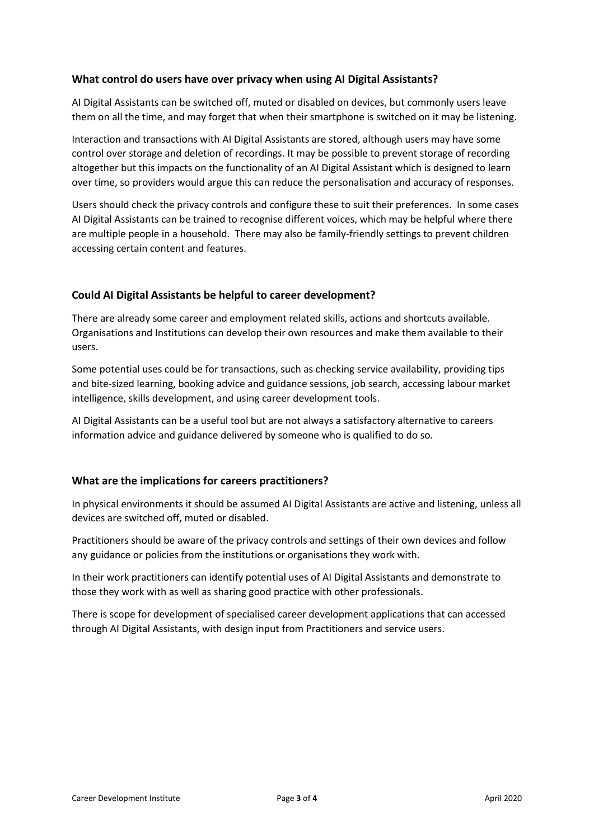## **What control do users have over privacy when using AI Digital Assistants?**

AI Digital Assistants can be switched off, muted or disabled on devices, but commonly users leave them on all the time, and may forget that when their smartphone is switched on it may be listening.

Interaction and transactions with AI Digital Assistants are stored, although users may have some control over storage and deletion of recordings. It may be possible to prevent storage of recording altogether but this impacts on the functionality of an AI Digital Assistant which is designed to learn over time, so providers would argue this can reduce the personalisation and accuracy of responses.

Users should check the privacy controls and configure these to suit their preferences. In some cases AI Digital Assistants can be trained to recognise different voices, which may be helpful where there are multiple people in a household. There may also be family-friendly settings to prevent children accessing certain content and features.

## **Could AI Digital Assistants be helpful to career development?**

There are already some career and employment related skills, actions and shortcuts available. Organisations and Institutions can develop their own resources and make them available to their users.

Some potential uses could be for transactions, such as checking service availability, providing tips and bite-sized learning, booking advice and guidance sessions, job search, accessing labour market intelligence, skills development, and using career development tools.

AI Digital Assistants can be a useful tool but are not always a satisfactory alternative to careers information advice and guidance delivered by someone who is qualified to do so.

# **What are the implications for careers practitioners?**

In physical environments it should be assumed AI Digital Assistants are active and listening, unless all devices are switched off, muted or disabled.

Practitioners should be aware of the privacy controls and settings of their own devices and follow any guidance or policies from the institutions or organisations they work with.

In their work practitioners can identify potential uses of AI Digital Assistants and demonstrate to those they work with as well as sharing good practice with other professionals.

There is scope for development of specialised career development applications that can accessed through AI Digital Assistants, with design input from Practitioners and service users.